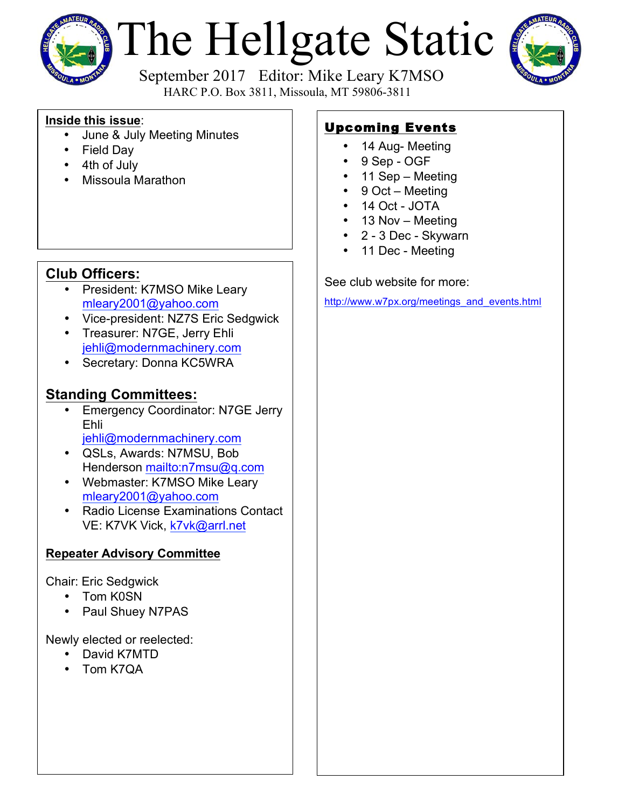

# The Hellgate Static



 September 2017 Editor: Mike Leary K7MSO HARC P.O. Box 3811, Missoula, MT 59806-3811

#### **Inside this issue**:

- June & July Meeting Minutes
- Field Day
- 4th of July
- Missoula Marathon

## **Club Officers:**

- President: K7MSO Mike Leary mleary2001@yahoo.com
- Vice-president: NZ7S Eric Sedgwick
- Treasurer: N7GE, Jerry Ehli jehli@modernmachinery.com
- Secretary: Donna KC5WRA

## **Standing Committees:**

- Emergency Coordinator: N7GE Jerry Ehli jehli@modernmachinery.com
- QSLs, Awards: N7MSU, Bob Henderson mailto:n7msu@q.com
- Webmaster: K7MSO Mike Leary mleary2001@yahoo.com
- Radio License Examinations Contact VE: K7VK Vick, k7vk@arrl.net

### **Repeater Advisory Committee**

Chair: Eric Sedgwick

- Tom K0SN
- Paul Shuey N7PAS

Newly elected or reelected:

- David K7MTD
- Tom K7QA

# Upcoming Events

- 14 Aug- Meeting
- 9 Sep OGF
- 11 Sep Meeting
- 9 Oct Meeting
- 14 Oct JOTA
- 13 Nov Meeting
- 2 3 Dec Skywarn
- 11 Dec Meeting

See club website for more:

http://www.w7px.org/meetings\_and\_events.html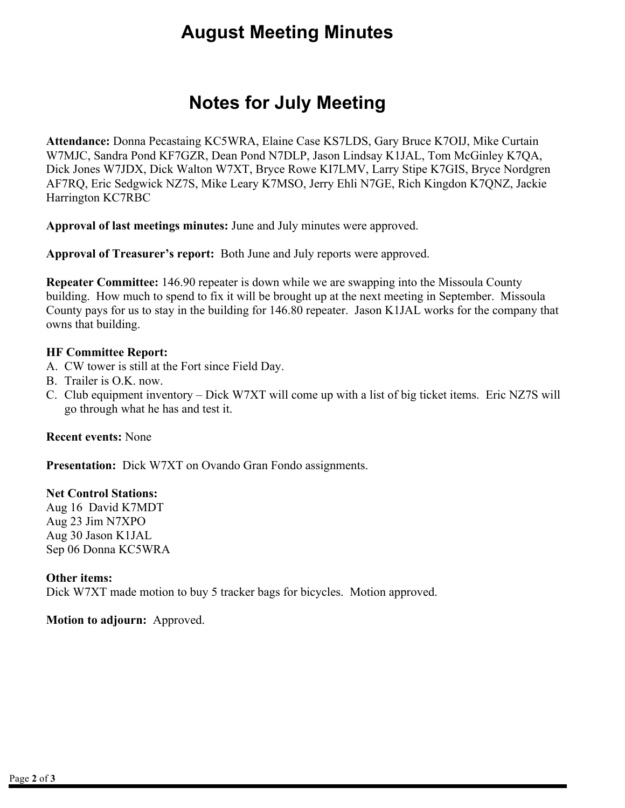# **August Meeting Minutes**

# **Notes for July Meeting**

**Attendance:** Donna Pecastaing KC5WRA, Elaine Case KS7LDS, Gary Bruce K7OIJ, Mike Curtain W7MJC, Sandra Pond KF7GZR, Dean Pond N7DLP, Jason Lindsay K1JAL, Tom McGinley K7QA, Dick Jones W7JDX, Dick Walton W7XT, Bryce Rowe KI7LMV, Larry Stipe K7GIS, Bryce Nordgren AF7RQ, Eric Sedgwick NZ7S, Mike Leary K7MSO, Jerry Ehli N7GE, Rich Kingdon K7QNZ, Jackie Harrington KC7RBC

**Approval of last meetings minutes:** June and July minutes were approved.

**Approval of Treasurer's report:** Both June and July reports were approved.

**Repeater Committee:** 146.90 repeater is down while we are swapping into the Missoula County building. How much to spend to fix it will be brought up at the next meeting in September. Missoula County pays for us to stay in the building for 146.80 repeater. Jason K1JAL works for the company that owns that building.

#### **HF Committee Report:**

- A. CW tower is still at the Fort since Field Day.
- B. Trailer is O.K. now.
- C. Club equipment inventory Dick W7XT will come up with a list of big ticket items. Eric NZ7S will go through what he has and test it.

#### **Recent events:** None

**Presentation:** Dick W7XT on Ovando Gran Fondo assignments.

#### **Net Control Stations:**

Aug 16 David K7MDT Aug 23 Jim N7XPO Aug 30 Jason K1JAL Sep 06 Donna KC5WRA

#### **Other items:**

Dick W7XT made motion to buy 5 tracker bags for bicycles. Motion approved.

#### **Motion to adjourn:** Approved.